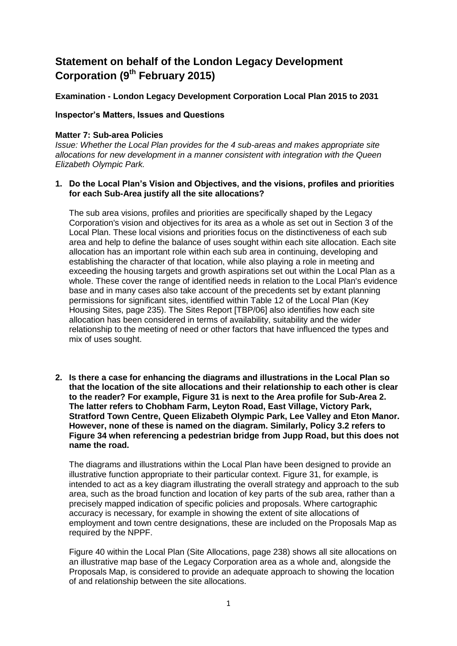# **Statement on behalf of the London Legacy Development Corporation (9th February 2015)**

## **Examination - London Legacy Development Corporation Local Plan 2015 to 2031**

### **Inspector's Matters, Issues and Questions**

#### **Matter 7: Sub-area Policies**

*Issue: Whether the Local Plan provides for the 4 sub-areas and makes appropriate site allocations for new development in a manner consistent with integration with the Queen Elizabeth Olympic Park.*

#### **1. Do the Local Plan's Vision and Objectives, and the visions, profiles and priorities for each Sub-Area justify all the site allocations?**

The sub area visions, profiles and priorities are specifically shaped by the Legacy Corporation's vision and objectives for its area as a whole as set out in Section 3 of the Local Plan. These local visions and priorities focus on the distinctiveness of each sub area and help to define the balance of uses sought within each site allocation. Each site allocation has an important role within each sub area in continuing, developing and establishing the character of that location, while also playing a role in meeting and exceeding the housing targets and growth aspirations set out within the Local Plan as a whole. These cover the range of identified needs in relation to the Local Plan's evidence base and in many cases also take account of the precedents set by extant planning permissions for significant sites, identified within Table 12 of the Local Plan (Key Housing Sites, page 235). The Sites Report [TBP/06] also identifies how each site allocation has been considered in terms of availability, suitability and the wider relationship to the meeting of need or other factors that have influenced the types and mix of uses sought.

**2. Is there a case for enhancing the diagrams and illustrations in the Local Plan so that the location of the site allocations and their relationship to each other is clear to the reader? For example, Figure 31 is next to the Area profile for Sub-Area 2. The latter refers to Chobham Farm, Leyton Road, East Village, Victory Park, Stratford Town Centre, Queen Elizabeth Olympic Park, Lee Valley and Eton Manor. However, none of these is named on the diagram. Similarly, Policy 3.2 refers to Figure 34 when referencing a pedestrian bridge from Jupp Road, but this does not name the road.**

The diagrams and illustrations within the Local Plan have been designed to provide an illustrative function appropriate to their particular context. Figure 31, for example, is intended to act as a key diagram illustrating the overall strategy and approach to the sub area, such as the broad function and location of key parts of the sub area, rather than a precisely mapped indication of specific policies and proposals. Where cartographic accuracy is necessary, for example in showing the extent of site allocations of employment and town centre designations, these are included on the Proposals Map as required by the NPPF.

Figure 40 within the Local Plan (Site Allocations, page 238) shows all site allocations on an illustrative map base of the Legacy Corporation area as a whole and, alongside the Proposals Map, is considered to provide an adequate approach to showing the location of and relationship between the site allocations.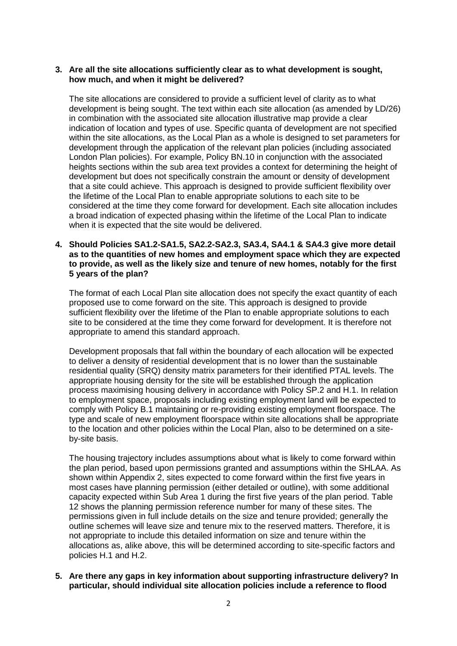#### **3. Are all the site allocations sufficiently clear as to what development is sought, how much, and when it might be delivered?**

The site allocations are considered to provide a sufficient level of clarity as to what development is being sought. The text within each site allocation (as amended by LD/26) in combination with the associated site allocation illustrative map provide a clear indication of location and types of use. Specific quanta of development are not specified within the site allocations, as the Local Plan as a whole is designed to set parameters for development through the application of the relevant plan policies (including associated London Plan policies). For example, Policy BN.10 in conjunction with the associated heights sections within the sub area text provides a context for determining the height of development but does not specifically constrain the amount or density of development that a site could achieve. This approach is designed to provide sufficient flexibility over the lifetime of the Local Plan to enable appropriate solutions to each site to be considered at the time they come forward for development. Each site allocation includes a broad indication of expected phasing within the lifetime of the Local Plan to indicate when it is expected that the site would be delivered.

#### **4. Should Policies SA1.2-SA1.5, SA2.2-SA2.3, SA3.4, SA4.1 & SA4.3 give more detail as to the quantities of new homes and employment space which they are expected to provide, as well as the likely size and tenure of new homes, notably for the first 5 years of the plan?**

The format of each Local Plan site allocation does not specify the exact quantity of each proposed use to come forward on the site. This approach is designed to provide sufficient flexibility over the lifetime of the Plan to enable appropriate solutions to each site to be considered at the time they come forward for development. It is therefore not appropriate to amend this standard approach.

Development proposals that fall within the boundary of each allocation will be expected to deliver a density of residential development that is no lower than the sustainable residential quality (SRQ) density matrix parameters for their identified PTAL levels. The appropriate housing density for the site will be established through the application process maximising housing delivery in accordance with Policy SP.2 and H.1. In relation to employment space, proposals including existing employment land will be expected to comply with Policy B.1 maintaining or re-providing existing employment floorspace. The type and scale of new employment floorspace within site allocations shall be appropriate to the location and other policies within the Local Plan, also to be determined on a siteby-site basis.

The housing trajectory includes assumptions about what is likely to come forward within the plan period, based upon permissions granted and assumptions within the SHLAA. As shown within Appendix 2, sites expected to come forward within the first five years in most cases have planning permission (either detailed or outline), with some additional capacity expected within Sub Area 1 during the first five years of the plan period. Table 12 shows the planning permission reference number for many of these sites. The permissions given in full include details on the size and tenure provided; generally the outline schemes will leave size and tenure mix to the reserved matters. Therefore, it is not appropriate to include this detailed information on size and tenure within the allocations as, alike above, this will be determined according to site-specific factors and policies H.1 and H.2.

**5. Are there any gaps in key information about supporting infrastructure delivery? In particular, should individual site allocation policies include a reference to flood**